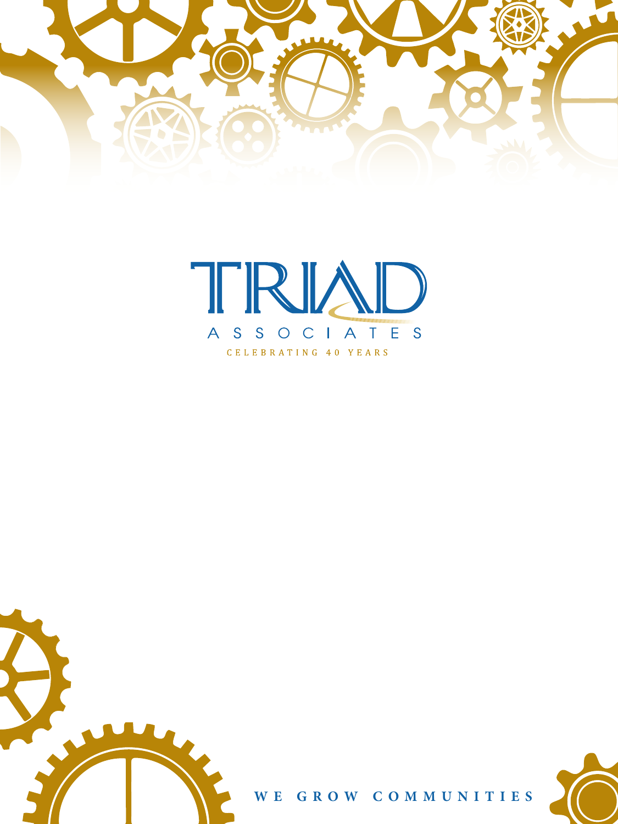







**WE GROW COMMUNITIES**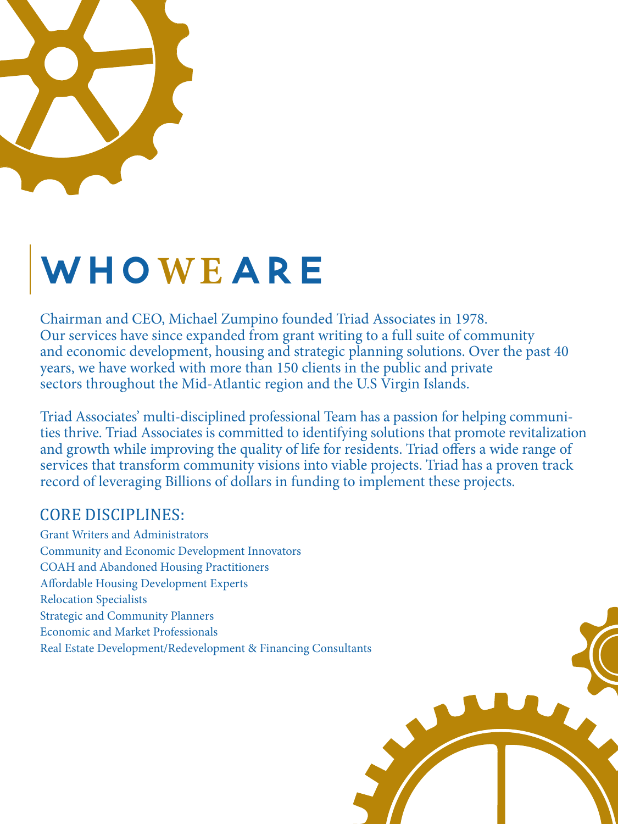

## **WHo WE are**

Chairman and CEO, Michael Zumpino founded Triad Associates in 1978. Our services have since expanded from grant writing to a full suite of community and economic development, housing and strategic planning solutions. Over the past 40 years, we have worked with more than 150 clients in the public and private sectors throughout the Mid-Atlantic region and the U.S Virgin Islands.

Triad Associates' multi-disciplined professional Team has a passion for helping communities thrive. Triad Associates is committed to identifying solutions that promote revitalization and growth while improving the quality of life for residents. Triad offers a wide range of services that transform community visions into viable projects. Triad has a proven track record of leveraging Billions of dollars in funding to implement these projects.

### CORE DISCIPLINES:

Grant Writers and Administrators Community and Economic Development Innovators COAH and Abandoned Housing Practitioners Affordable Housing Development Experts Relocation Specialists Strategic and Community Planners Economic and Market Professionals Real Estate Development/Redevelopment & Financing Consultants

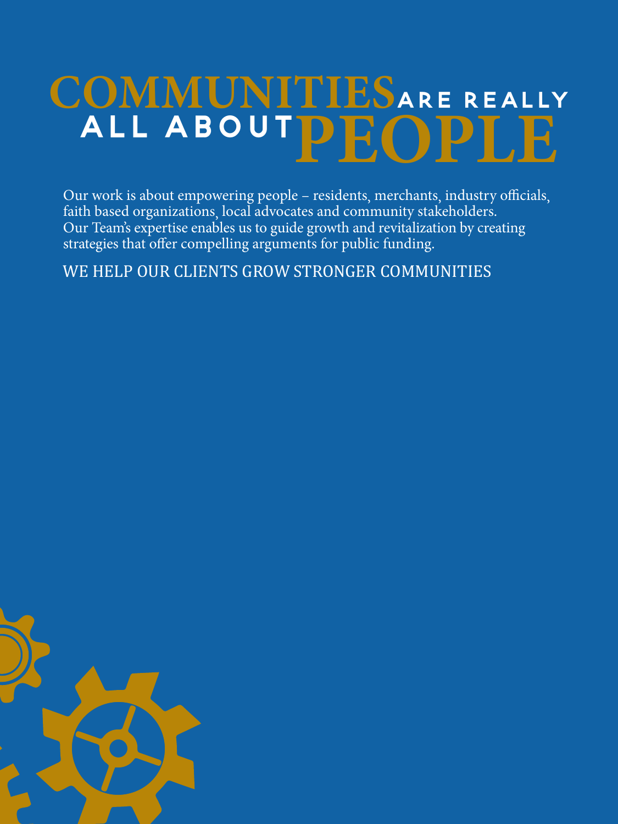# COMMUNITIESARE REALLY **all about PEOPLE**

Our work is about empowering people – residents, merchants, industry officials, faith based organizations, local advocates and community stakeholders. Our Team's expertise enables us to guide growth and revitalization by creating strategies that offer compelling arguments for public funding.

WE HELP OUR CLIENTS GROW STRONGER COMMUNITIES

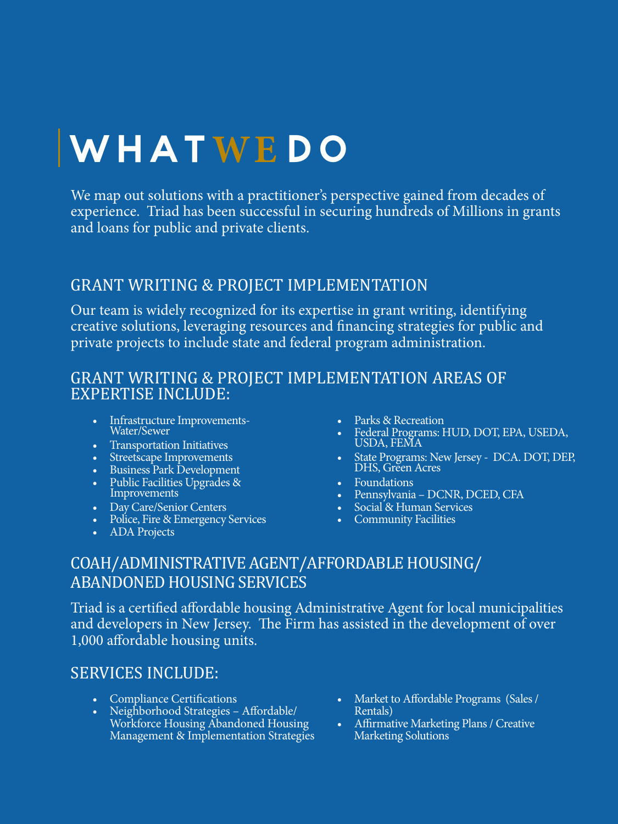## **WHat WE do**

We map out solutions with a practitioner's perspective gained from decades of experience. Triad has been successful in securing hundreds of Millions in grants and loans for public and private clients.

#### GRANT WRITING & PROJECT IMPLEMENTATION

Our team is widely recognized for its expertise in grant writing, identifying creative solutions, leveraging resources and financing strategies for public and private projects to include state and federal program administration.

#### GRANT WRITING & PROJECT IMPLEMENTATION AREAS OF EXPERTISE INCLUDE:

- Infrastructure Improvements-Water/Sewer
- 
- 
- 
- Transportation Initiatives<br>• Streetscape Improvements<br>• Business Park Development<br>• Public Facilities Upgrades &<br>Improvements
- 
- Day Care/Senior Centers Police, Fire & Emergency Services ADA Projects
- 
- 
- Parks & Recreation<br>• Federal Programs: HUD, DOT, EPA, USEDA, USDA, FEMA
- State Programs: New Jersey DCA. DOT, DEP, DHS, Green Acres
- 
- Foundations Pennsylvania DCNR, DCED, CFA Social & Human Services Community Facilities
- 
- 

#### COAH/ADMINISTRATIVE AGENT/AFFORDABLE HOUSING/ ABANDONED HOUSING SERVICES

Triad is a certified affordable housing Administrative Agent for local municipalities and developers in New Jersey. The Firm has assisted in the development of over 1,000 affordable housing units.

#### SERVICES INCLUDE:

- Compliance Certifications
- Neighborhood Strategies Affordable/ Workforce Housing Abandoned Housing Management & Implementation Strategies
- Market to Affordable Programs (Sales / Rentals)
- Affirmative Marketing Plans / Creative Marketing Solutions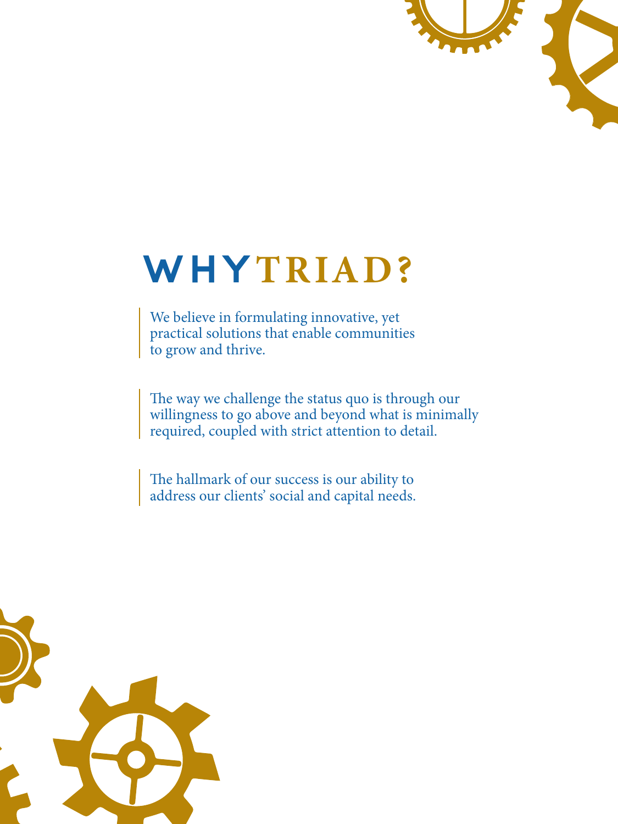

### **WHY TRIAD?**

We believe in formulating innovative, yet practical solutions that enable communities to grow and thrive.

The way we challenge the status quo is through our willingness to go above and beyond what is minimally required, coupled with strict attention to detail.

The hallmark of our success is our ability to address our clients' social and capital needs.